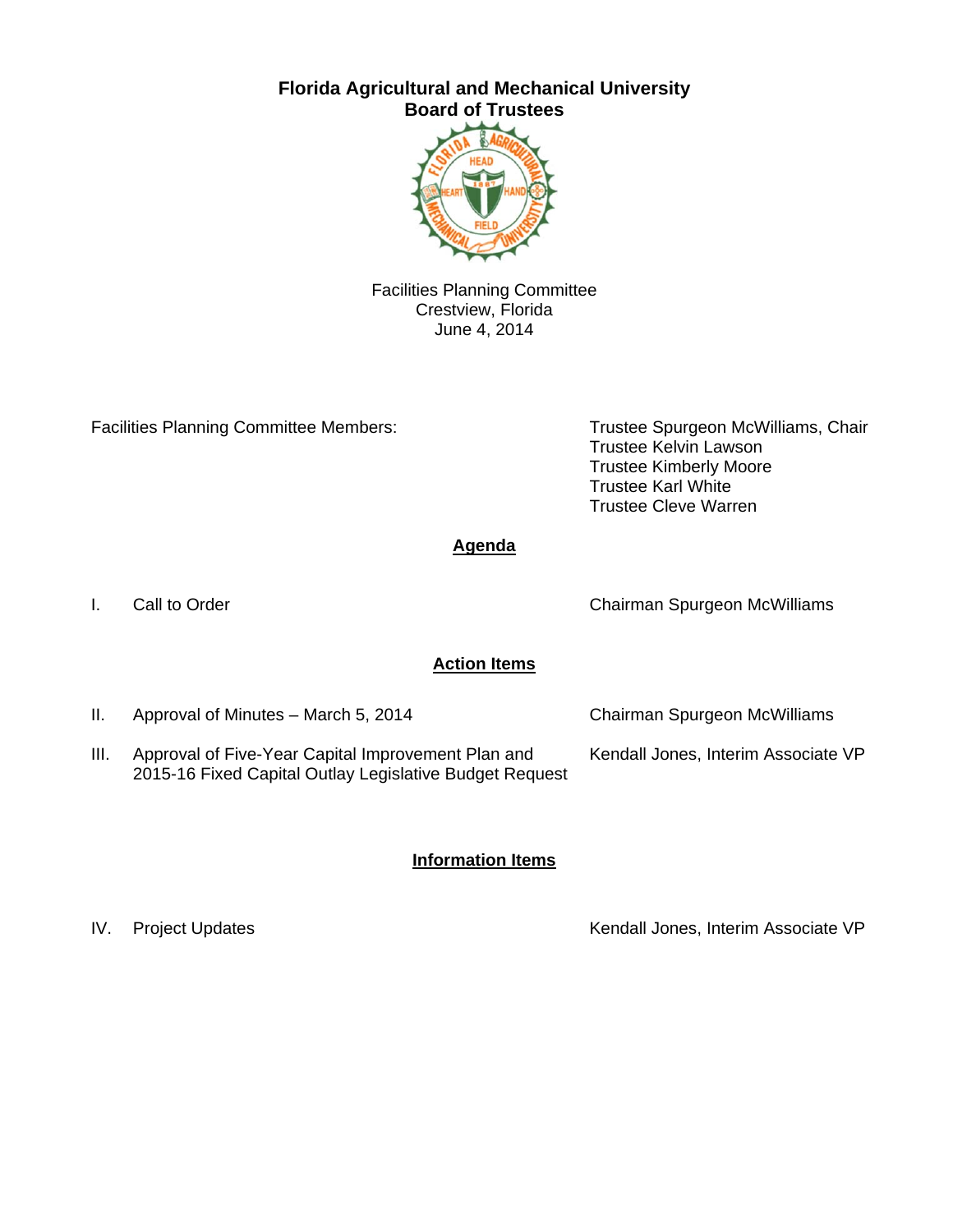# **Florida Agricultural and Mechanical University Board of Trustees**



Facilities Planning Committee Crestview, Florida June 4, 2014

Facilities Planning Committee Members: Trustee Spurgeon McWilliams, Chair

Trustee Kelvin Lawson Trustee Kimberly Moore Trustee Karl White Trustee Cleve Warren

**Agenda** 

I. Call to Order

Chairman Spurgeon McWilliams

### **Action Items**

II. Approval of Minutes – March 5, 2014 III. Approval of Five-Year Capital Improvement Plan and Chairman Spurgeon McWilliams Kendall Jones, Interim Associate VP

2015-16 Fixed Capital Outlay Legislative Budget Request

#### **Information Items**

IV. Project Updates **Kendall Jones, Interim Associate VP**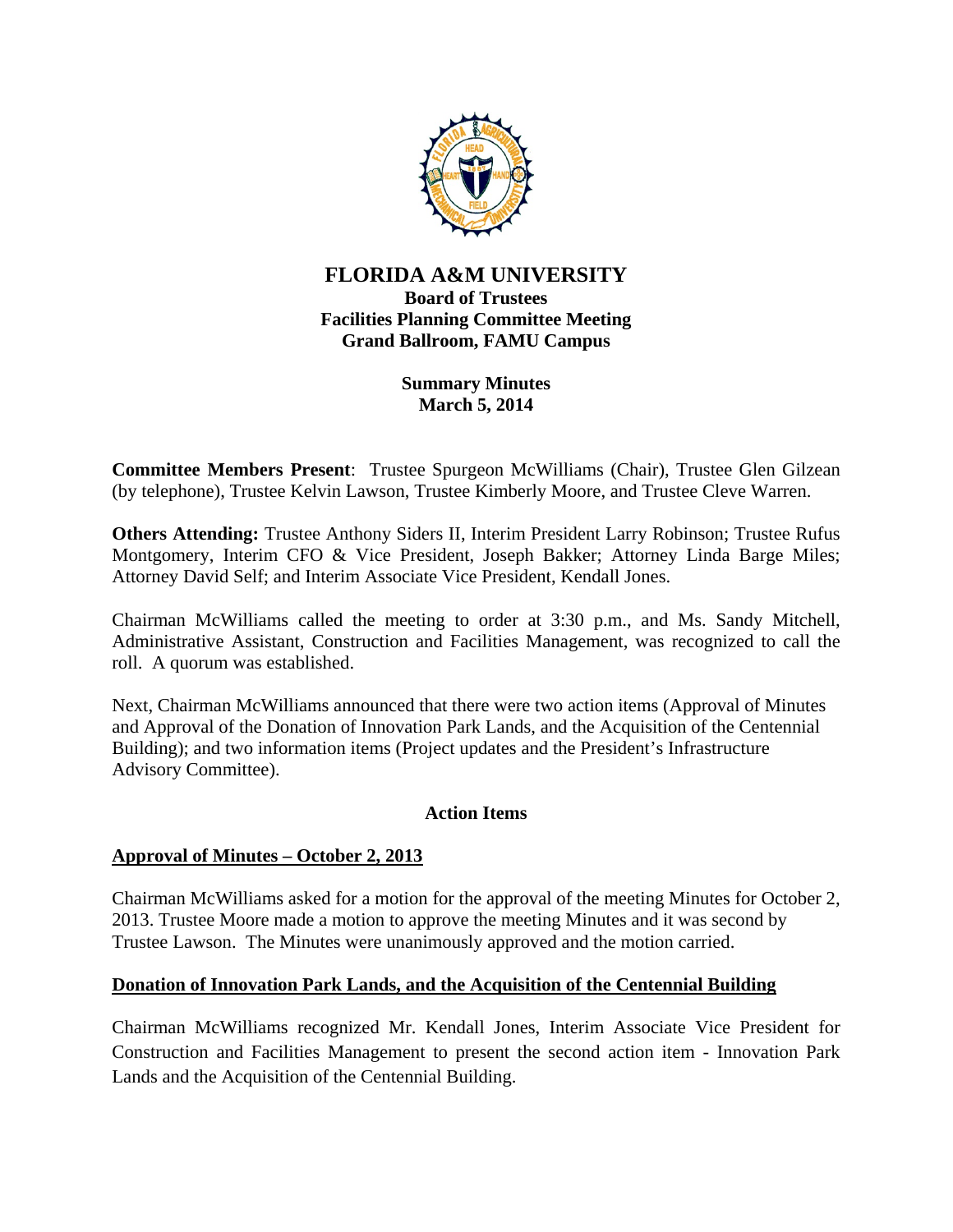

# **FLORIDA A&M UNIVERSITY Board of Trustees Facilities Planning Committee Meeting Grand Ballroom, FAMU Campus**

# **Summary Minutes March 5, 2014**

**Committee Members Present**: Trustee Spurgeon McWilliams (Chair), Trustee Glen Gilzean (by telephone), Trustee Kelvin Lawson, Trustee Kimberly Moore, and Trustee Cleve Warren.

**Others Attending:** Trustee Anthony Siders II, Interim President Larry Robinson; Trustee Rufus Montgomery, Interim CFO & Vice President, Joseph Bakker; Attorney Linda Barge Miles; Attorney David Self; and Interim Associate Vice President, Kendall Jones.

Chairman McWilliams called the meeting to order at 3:30 p.m., and Ms. Sandy Mitchell, Administrative Assistant, Construction and Facilities Management, was recognized to call the roll. A quorum was established.

Next, Chairman McWilliams announced that there were two action items (Approval of Minutes and Approval of the Donation of Innovation Park Lands, and the Acquisition of the Centennial Building); and two information items (Project updates and the President's Infrastructure Advisory Committee).

### **Action Items**

### **Approval of Minutes – October 2, 2013**

Chairman McWilliams asked for a motion for the approval of the meeting Minutes for October 2, 2013. Trustee Moore made a motion to approve the meeting Minutes and it was second by Trustee Lawson. The Minutes were unanimously approved and the motion carried.

### **Donation of Innovation Park Lands, and the Acquisition of the Centennial Building**

Chairman McWilliams recognized Mr. Kendall Jones, Interim Associate Vice President for Construction and Facilities Management to present the second action item - Innovation Park Lands and the Acquisition of the Centennial Building.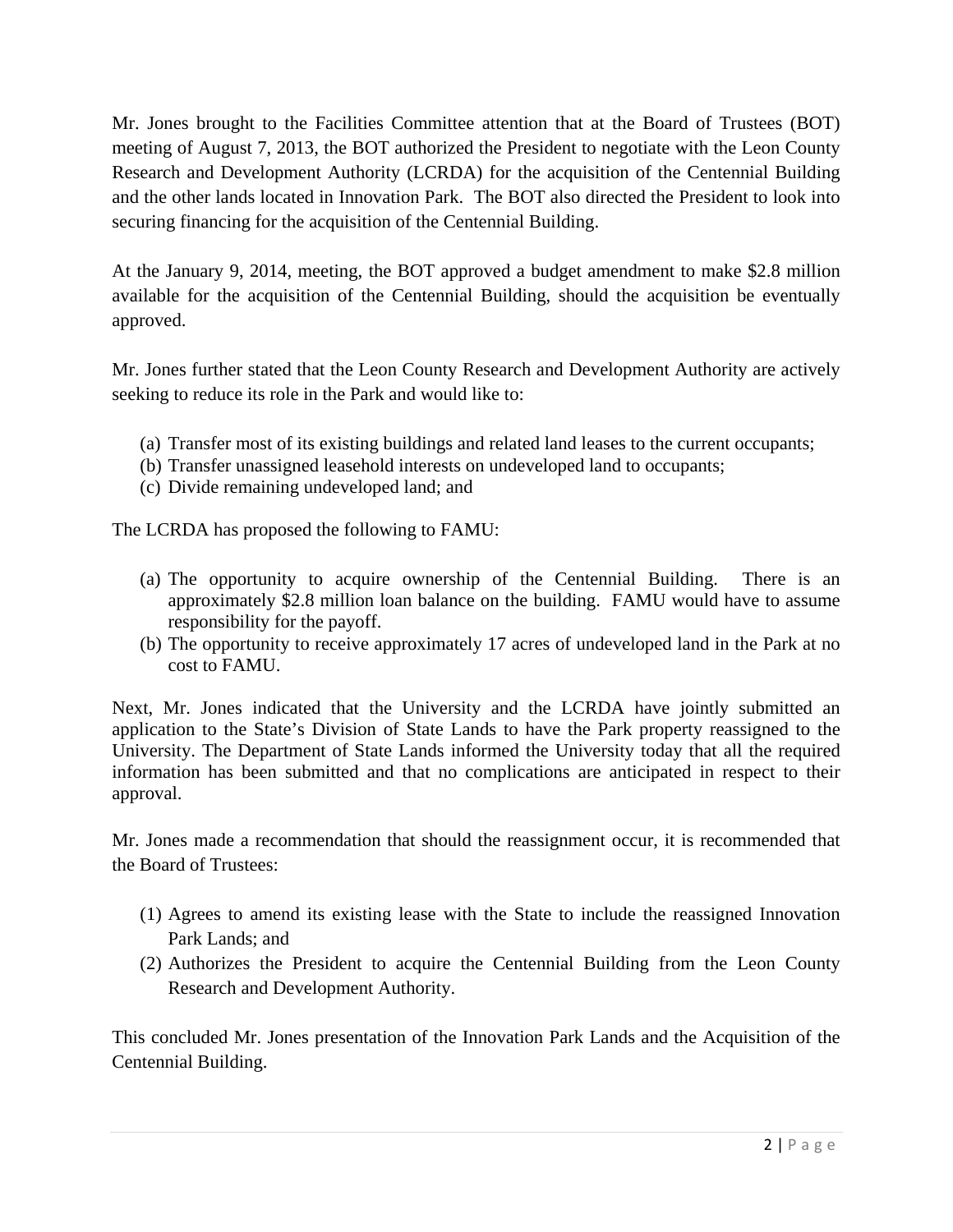Mr. Jones brought to the Facilities Committee attention that at the Board of Trustees (BOT) meeting of August 7, 2013, the BOT authorized the President to negotiate with the Leon County Research and Development Authority (LCRDA) for the acquisition of the Centennial Building and the other lands located in Innovation Park. The BOT also directed the President to look into securing financing for the acquisition of the Centennial Building.

At the January 9, 2014, meeting, the BOT approved a budget amendment to make \$2.8 million available for the acquisition of the Centennial Building, should the acquisition be eventually approved.

Mr. Jones further stated that the Leon County Research and Development Authority are actively seeking to reduce its role in the Park and would like to:

- (a) Transfer most of its existing buildings and related land leases to the current occupants;
- (b) Transfer unassigned leasehold interests on undeveloped land to occupants;
- (c) Divide remaining undeveloped land; and

The LCRDA has proposed the following to FAMU:

- (a) The opportunity to acquire ownership of the Centennial Building. There is an approximately \$2.8 million loan balance on the building. FAMU would have to assume responsibility for the payoff.
- (b) The opportunity to receive approximately 17 acres of undeveloped land in the Park at no cost to FAMU.

Next, Mr. Jones indicated that the University and the LCRDA have jointly submitted an application to the State's Division of State Lands to have the Park property reassigned to the University. The Department of State Lands informed the University today that all the required information has been submitted and that no complications are anticipated in respect to their approval.

Mr. Jones made a recommendation that should the reassignment occur, it is recommended that the Board of Trustees:

- (1) Agrees to amend its existing lease with the State to include the reassigned Innovation Park Lands; and
- (2) Authorizes the President to acquire the Centennial Building from the Leon County Research and Development Authority.

This concluded Mr. Jones presentation of the Innovation Park Lands and the Acquisition of the Centennial Building.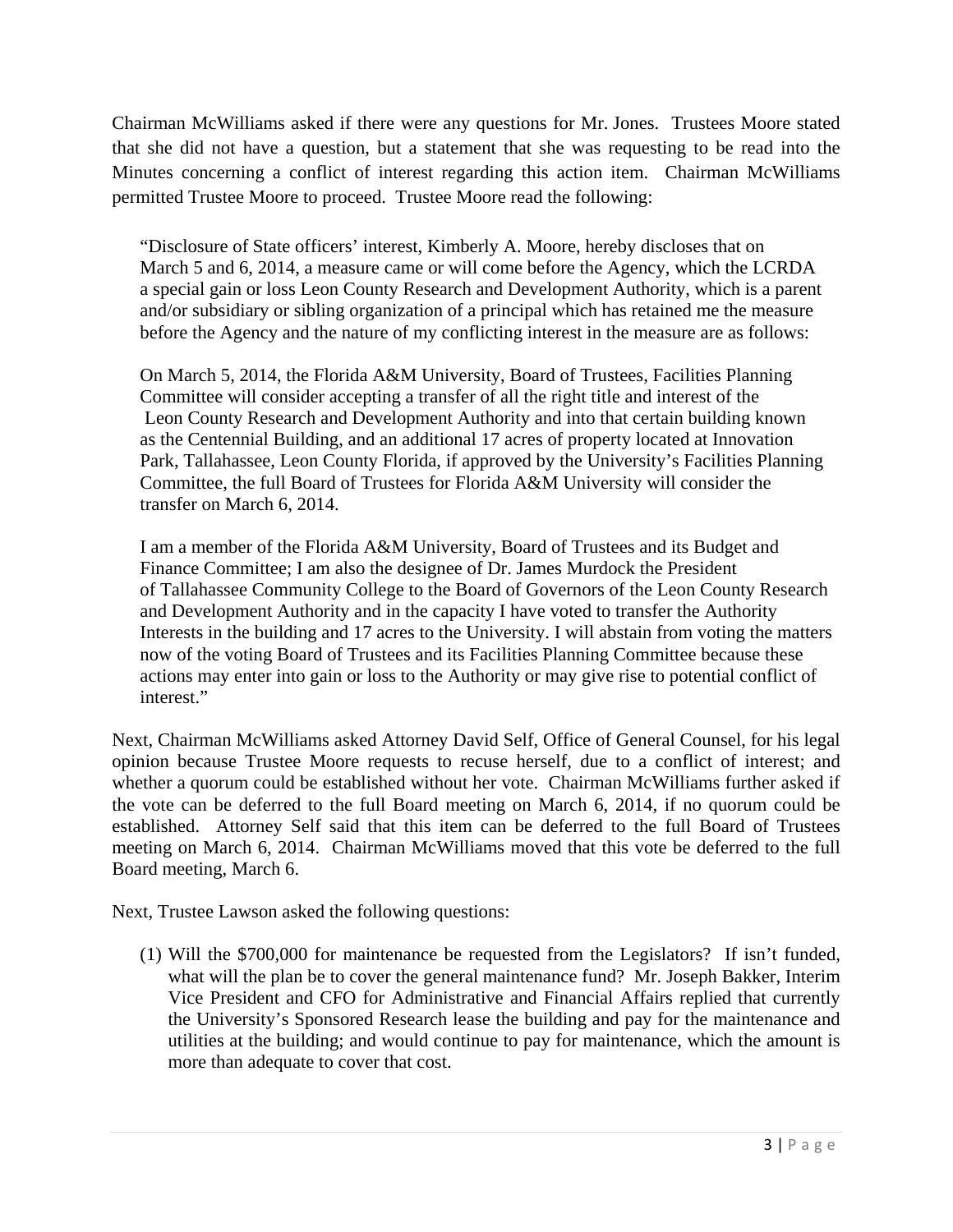Chairman McWilliams asked if there were any questions for Mr. Jones. Trustees Moore stated that she did not have a question, but a statement that she was requesting to be read into the Minutes concerning a conflict of interest regarding this action item. Chairman McWilliams permitted Trustee Moore to proceed. Trustee Moore read the following:

 "Disclosure of State officers' interest, Kimberly A. Moore, hereby discloses that on March 5 and 6, 2014, a measure came or will come before the Agency, which the LCRDA a special gain or loss Leon County Research and Development Authority, which is a parent and/or subsidiary or sibling organization of a principal which has retained me the measure before the Agency and the nature of my conflicting interest in the measure are as follows:

 On March 5, 2014, the Florida A&M University, Board of Trustees, Facilities Planning Committee will consider accepting a transfer of all the right title and interest of the Leon County Research and Development Authority and into that certain building known as the Centennial Building, and an additional 17 acres of property located at Innovation Park, Tallahassee, Leon County Florida, if approved by the University's Facilities Planning Committee, the full Board of Trustees for Florida A&M University will consider the transfer on March 6, 2014.

 I am a member of the Florida A&M University, Board of Trustees and its Budget and Finance Committee; I am also the designee of Dr. James Murdock the President of Tallahassee Community College to the Board of Governors of the Leon County Research and Development Authority and in the capacity I have voted to transfer the Authority Interests in the building and 17 acres to the University. I will abstain from voting the matters now of the voting Board of Trustees and its Facilities Planning Committee because these actions may enter into gain or loss to the Authority or may give rise to potential conflict of interest."

Next, Chairman McWilliams asked Attorney David Self, Office of General Counsel, for his legal opinion because Trustee Moore requests to recuse herself, due to a conflict of interest; and whether a quorum could be established without her vote. Chairman McWilliams further asked if the vote can be deferred to the full Board meeting on March 6, 2014, if no quorum could be established. Attorney Self said that this item can be deferred to the full Board of Trustees meeting on March 6, 2014. Chairman McWilliams moved that this vote be deferred to the full Board meeting, March 6.

Next, Trustee Lawson asked the following questions:

(1) Will the \$700,000 for maintenance be requested from the Legislators? If isn't funded, what will the plan be to cover the general maintenance fund? Mr. Joseph Bakker, Interim Vice President and CFO for Administrative and Financial Affairs replied that currently the University's Sponsored Research lease the building and pay for the maintenance and utilities at the building; and would continue to pay for maintenance, which the amount is more than adequate to cover that cost.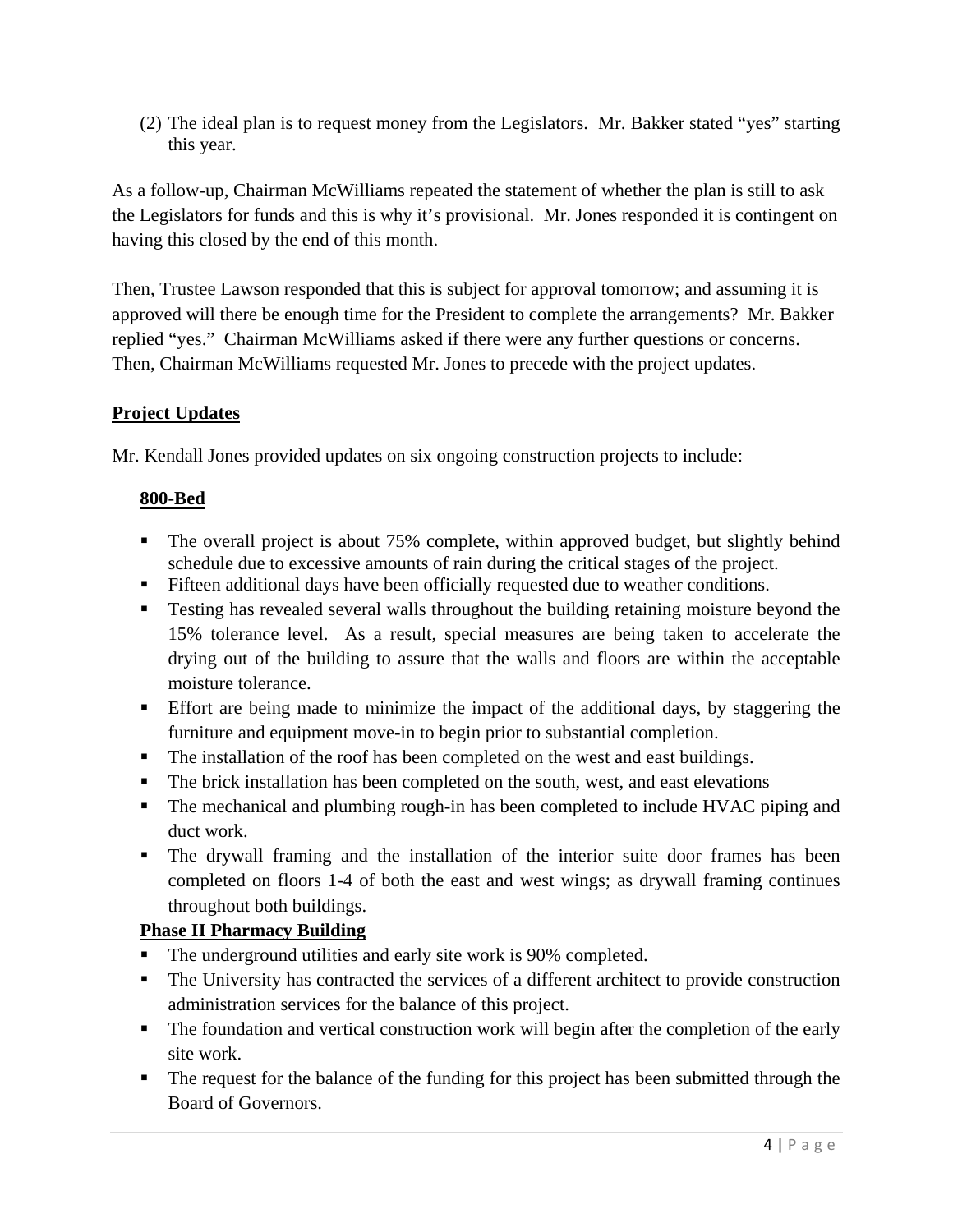(2) The ideal plan is to request money from the Legislators. Mr. Bakker stated "yes" starting this year.

As a follow-up, Chairman McWilliams repeated the statement of whether the plan is still to ask the Legislators for funds and this is why it's provisional. Mr. Jones responded it is contingent on having this closed by the end of this month.

Then, Trustee Lawson responded that this is subject for approval tomorrow; and assuming it is approved will there be enough time for the President to complete the arrangements? Mr. Bakker replied "yes." Chairman McWilliams asked if there were any further questions or concerns. Then, Chairman McWilliams requested Mr. Jones to precede with the project updates.

# **Project Updates**

Mr. Kendall Jones provided updates on six ongoing construction projects to include:

# **800-Bed**

- The overall project is about 75% complete, within approved budget, but slightly behind schedule due to excessive amounts of rain during the critical stages of the project.
- Fifteen additional days have been officially requested due to weather conditions.
- **Testing has revealed several walls throughout the building retaining moisture beyond the** 15% tolerance level. As a result, special measures are being taken to accelerate the drying out of the building to assure that the walls and floors are within the acceptable moisture tolerance.
- Effort are being made to minimize the impact of the additional days, by staggering the furniture and equipment move-in to begin prior to substantial completion.
- The installation of the roof has been completed on the west and east buildings.
- The brick installation has been completed on the south, west, and east elevations
- The mechanical and plumbing rough-in has been completed to include HVAC piping and duct work.
- The drywall framing and the installation of the interior suite door frames has been completed on floors 1-4 of both the east and west wings; as drywall framing continues throughout both buildings.

# **Phase II Pharmacy Building**

- The underground utilities and early site work is 90% completed.
- The University has contracted the services of a different architect to provide construction administration services for the balance of this project.
- The foundation and vertical construction work will begin after the completion of the early site work.
- The request for the balance of the funding for this project has been submitted through the Board of Governors.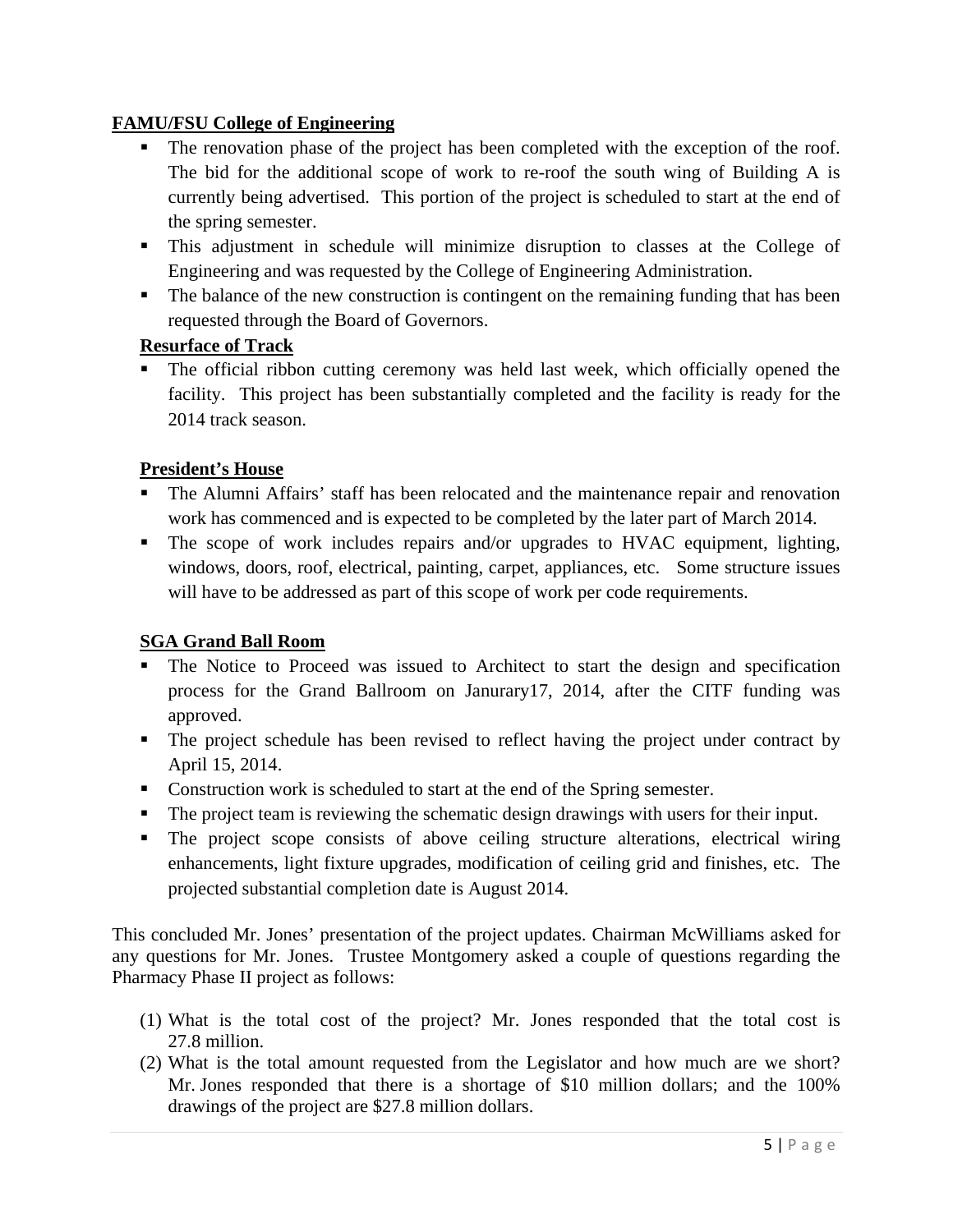# **FAMU/FSU College of Engineering**

- The renovation phase of the project has been completed with the exception of the roof. The bid for the additional scope of work to re-roof the south wing of Building A is currently being advertised. This portion of the project is scheduled to start at the end of the spring semester.
- This adjustment in schedule will minimize disruption to classes at the College of Engineering and was requested by the College of Engineering Administration.
- The balance of the new construction is contingent on the remaining funding that has been requested through the Board of Governors.

# **Resurface of Track**

 The official ribbon cutting ceremony was held last week, which officially opened the facility. This project has been substantially completed and the facility is ready for the 2014 track season.

# **President's House**

- The Alumni Affairs' staff has been relocated and the maintenance repair and renovation work has commenced and is expected to be completed by the later part of March 2014.
- The scope of work includes repairs and/or upgrades to HVAC equipment, lighting, windows, doors, roof, electrical, painting, carpet, appliances, etc. Some structure issues will have to be addressed as part of this scope of work per code requirements.

# **SGA Grand Ball Room**

- The Notice to Proceed was issued to Architect to start the design and specification process for the Grand Ballroom on Janurary17, 2014, after the CITF funding was approved.
- The project schedule has been revised to reflect having the project under contract by April 15, 2014.
- Construction work is scheduled to start at the end of the Spring semester.
- The project team is reviewing the schematic design drawings with users for their input.
- The project scope consists of above ceiling structure alterations, electrical wiring enhancements, light fixture upgrades, modification of ceiling grid and finishes, etc. The projected substantial completion date is August 2014.

This concluded Mr. Jones' presentation of the project updates. Chairman McWilliams asked for any questions for Mr. Jones. Trustee Montgomery asked a couple of questions regarding the Pharmacy Phase II project as follows:

- (1) What is the total cost of the project? Mr. Jones responded that the total cost is 27.8 million.
- (2) What is the total amount requested from the Legislator and how much are we short? Mr. Jones responded that there is a shortage of \$10 million dollars; and the 100% drawings of the project are \$27.8 million dollars.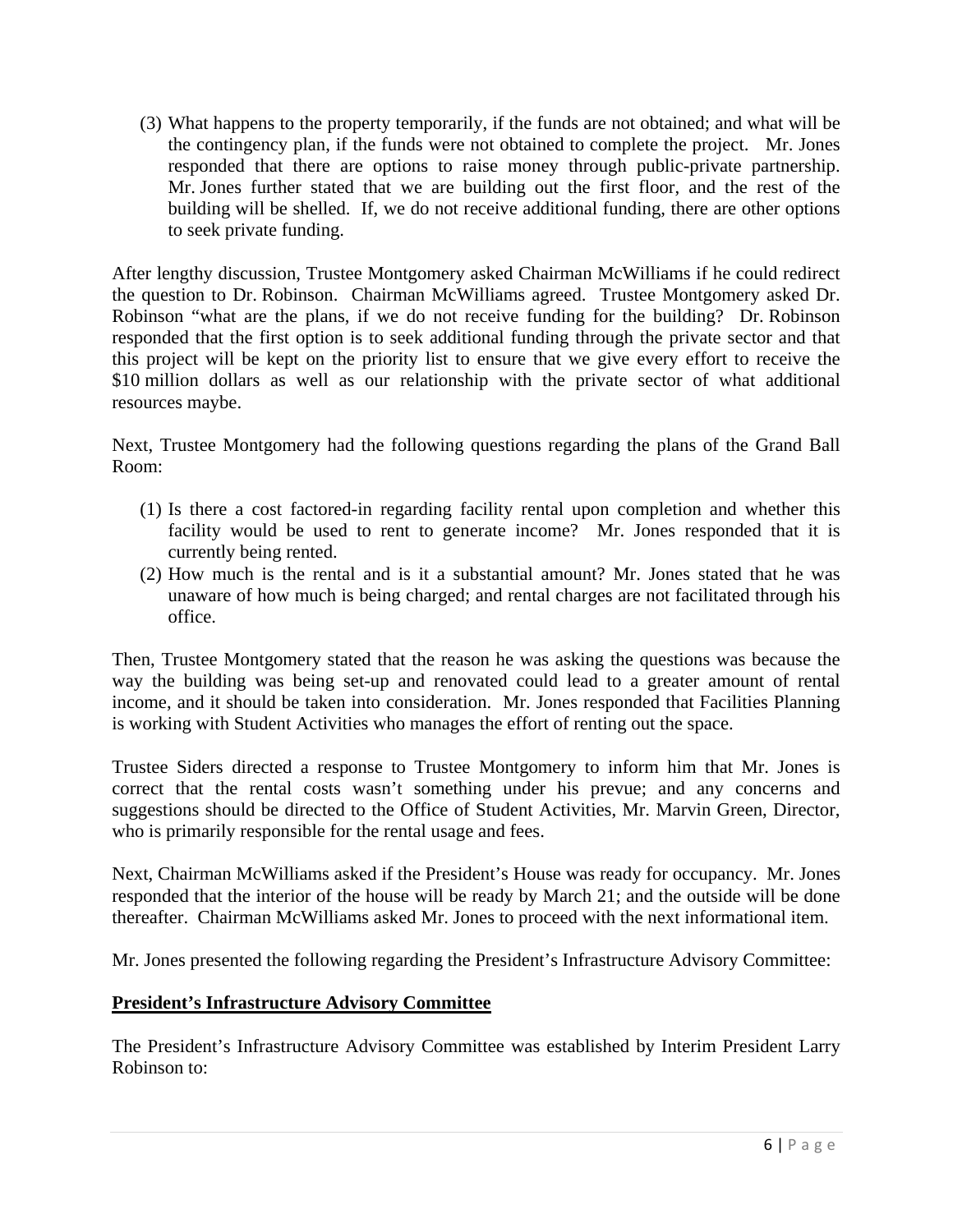(3) What happens to the property temporarily, if the funds are not obtained; and what will be the contingency plan, if the funds were not obtained to complete the project. Mr. Jones responded that there are options to raise money through public-private partnership. Mr. Jones further stated that we are building out the first floor, and the rest of the building will be shelled. If, we do not receive additional funding, there are other options to seek private funding.

After lengthy discussion, Trustee Montgomery asked Chairman McWilliams if he could redirect the question to Dr. Robinson. Chairman McWilliams agreed. Trustee Montgomery asked Dr. Robinson "what are the plans, if we do not receive funding for the building? Dr. Robinson responded that the first option is to seek additional funding through the private sector and that this project will be kept on the priority list to ensure that we give every effort to receive the \$10 million dollars as well as our relationship with the private sector of what additional resources maybe.

Next, Trustee Montgomery had the following questions regarding the plans of the Grand Ball Room:

- (1) Is there a cost factored-in regarding facility rental upon completion and whether this facility would be used to rent to generate income? Mr. Jones responded that it is currently being rented.
- (2) How much is the rental and is it a substantial amount? Mr. Jones stated that he was unaware of how much is being charged; and rental charges are not facilitated through his office.

Then, Trustee Montgomery stated that the reason he was asking the questions was because the way the building was being set-up and renovated could lead to a greater amount of rental income, and it should be taken into consideration. Mr. Jones responded that Facilities Planning is working with Student Activities who manages the effort of renting out the space.

Trustee Siders directed a response to Trustee Montgomery to inform him that Mr. Jones is correct that the rental costs wasn't something under his prevue; and any concerns and suggestions should be directed to the Office of Student Activities, Mr. Marvin Green, Director, who is primarily responsible for the rental usage and fees.

Next, Chairman McWilliams asked if the President's House was ready for occupancy. Mr. Jones responded that the interior of the house will be ready by March 21; and the outside will be done thereafter. Chairman McWilliams asked Mr. Jones to proceed with the next informational item.

Mr. Jones presented the following regarding the President's Infrastructure Advisory Committee:

### **President's Infrastructure Advisory Committee**

The President's Infrastructure Advisory Committee was established by Interim President Larry Robinson to: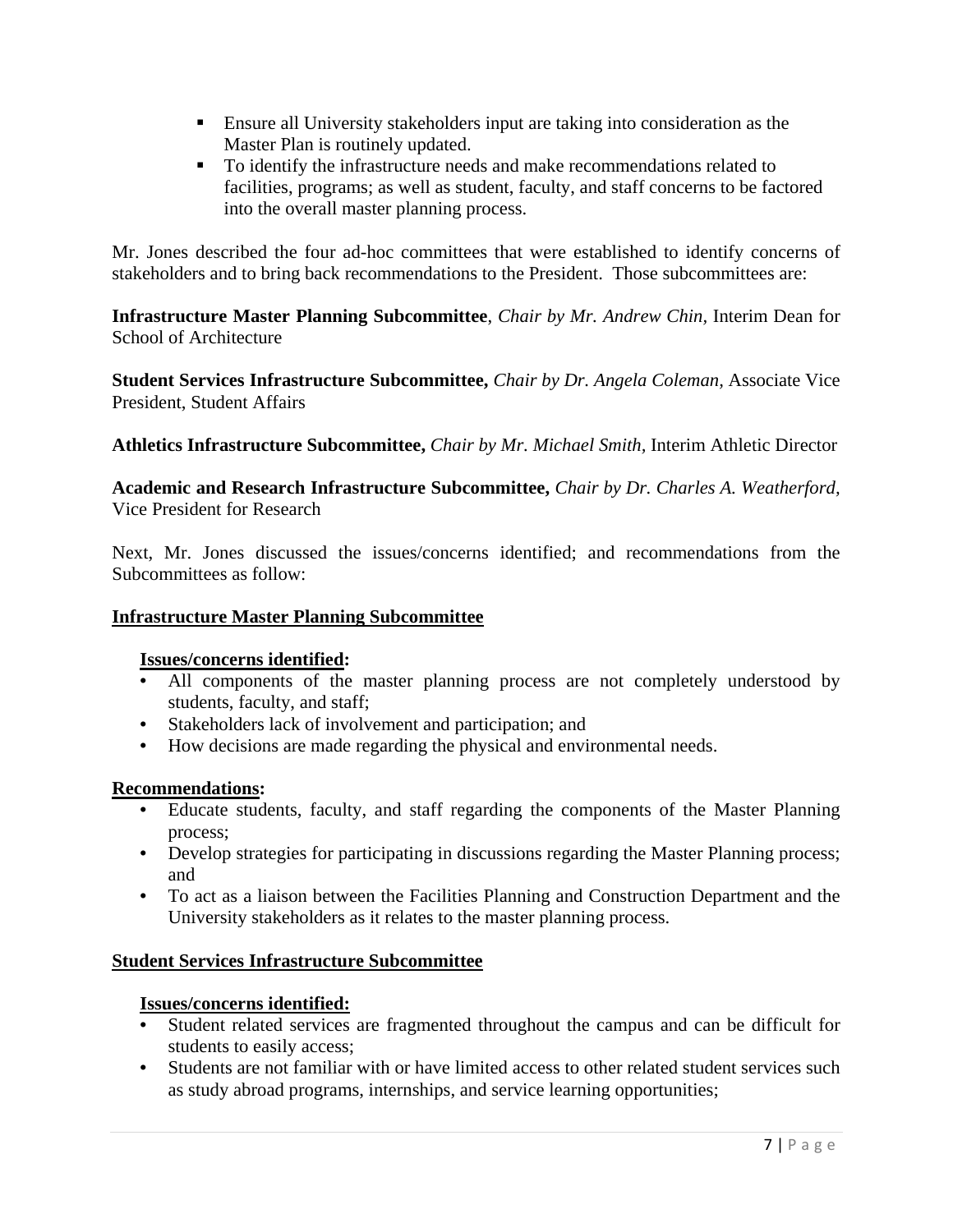- Ensure all University stakeholders input are taking into consideration as the Master Plan is routinely updated.
- To identify the infrastructure needs and make recommendations related to facilities, programs; as well as student, faculty, and staff concerns to be factored into the overall master planning process.

Mr. Jones described the four ad-hoc committees that were established to identify concerns of stakeholders and to bring back recommendations to the President. Those subcommittees are:

**Infrastructure Master Planning Subcommittee**, *Chair by Mr. Andrew Chin,* Interim Dean for School of Architecture

**Student Services Infrastructure Subcommittee,** *Chair by Dr. Angela Coleman,* Associate Vice President, Student Affairs

**Athletics Infrastructure Subcommittee,** *Chair by Mr. Michael Smith,* Interim Athletic Director

**Academic and Research Infrastructure Subcommittee,** *Chair by Dr. Charles A. Weatherford,*  Vice President for Research

Next, Mr. Jones discussed the issues/concerns identified; and recommendations from the Subcommittees as follow:

### **Infrastructure Master Planning Subcommittee**

#### **Issues/concerns identified:**

- All components of the master planning process are not completely understood by students, faculty, and staff;
- Stakeholders lack of involvement and participation; and
- How decisions are made regarding the physical and environmental needs.

### **Recommendations:**

- Educate students, faculty, and staff regarding the components of the Master Planning process;
- Develop strategies for participating in discussions regarding the Master Planning process; and
- To act as a liaison between the Facilities Planning and Construction Department and the University stakeholders as it relates to the master planning process.

#### **Student Services Infrastructure Subcommittee**

### **Issues/concerns identified:**

- Student related services are fragmented throughout the campus and can be difficult for students to easily access;
- Students are not familiar with or have limited access to other related student services such as study abroad programs, internships, and service learning opportunities;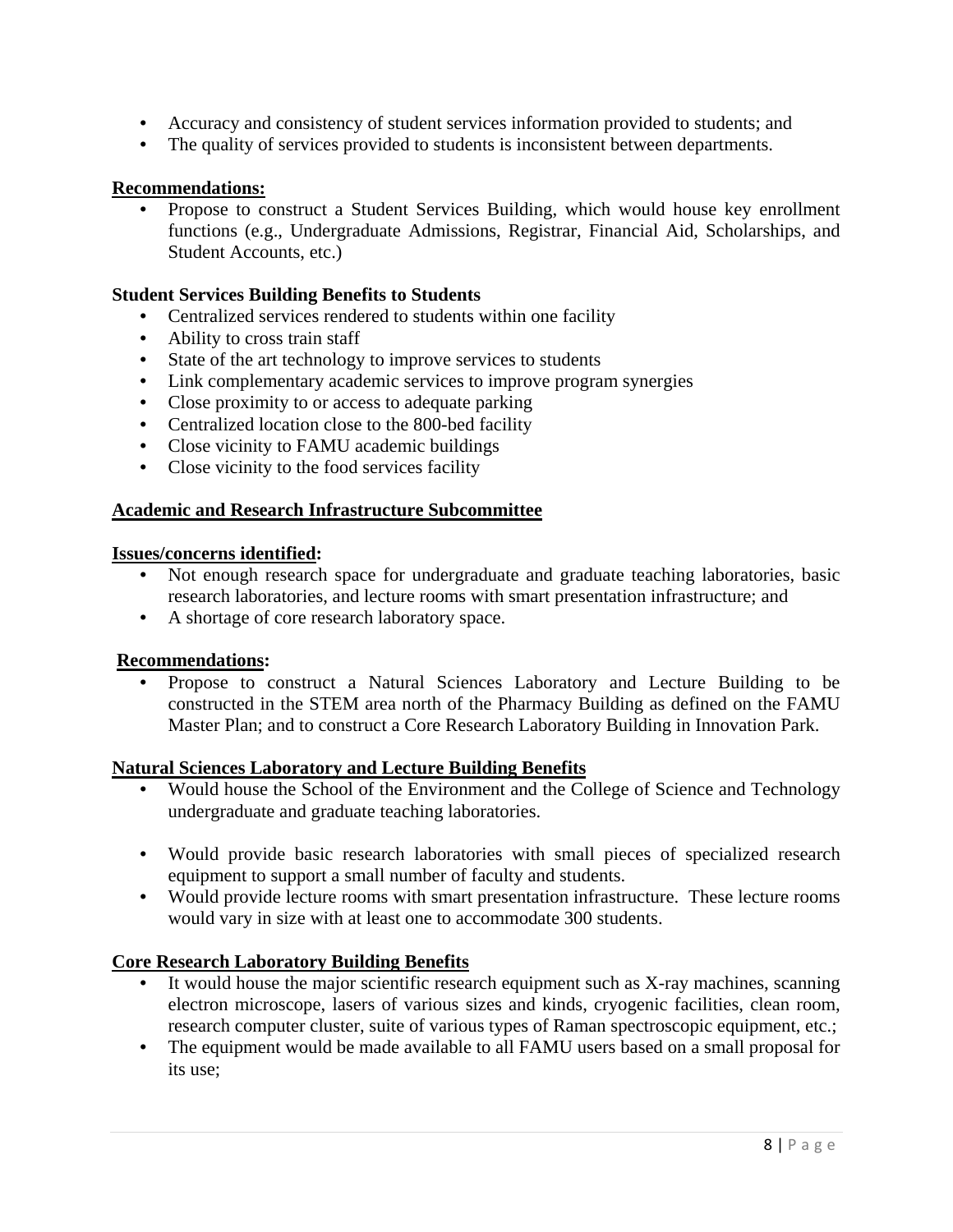- Accuracy and consistency of student services information provided to students; and
- The quality of services provided to students is inconsistent between departments.

#### **Recommendations:**

• Propose to construct a Student Services Building, which would house key enrollment functions (e.g., Undergraduate Admissions, Registrar, Financial Aid, Scholarships, and Student Accounts, etc.)

#### **Student Services Building Benefits to Students**

- Centralized services rendered to students within one facility
- Ability to cross train staff
- State of the art technology to improve services to students
- Link complementary academic services to improve program synergies
- Close proximity to or access to adequate parking
- Centralized location close to the 800-bed facility
- Close vicinity to FAMU academic buildings
- Close vicinity to the food services facility

#### **Academic and Research Infrastructure Subcommittee**

#### **Issues/concerns identified:**

- Not enough research space for undergraduate and graduate teaching laboratories, basic research laboratories, and lecture rooms with smart presentation infrastructure; and
- A shortage of core research laboratory space.

#### **Recommendations:**

• Propose to construct a Natural Sciences Laboratory and Lecture Building to be constructed in the STEM area north of the Pharmacy Building as defined on the FAMU Master Plan; and to construct a Core Research Laboratory Building in Innovation Park.

#### **Natural Sciences Laboratory and Lecture Building Benefits**

- Would house the School of the Environment and the College of Science and Technology undergraduate and graduate teaching laboratories.
- Would provide basic research laboratories with small pieces of specialized research equipment to support a small number of faculty and students.
- Would provide lecture rooms with smart presentation infrastructure. These lecture rooms would vary in size with at least one to accommodate 300 students.

#### **Core Research Laboratory Building Benefits**

- It would house the major scientific research equipment such as X-ray machines, scanning electron microscope, lasers of various sizes and kinds, cryogenic facilities, clean room, research computer cluster, suite of various types of Raman spectroscopic equipment, etc.;
- The equipment would be made available to all FAMU users based on a small proposal for its use;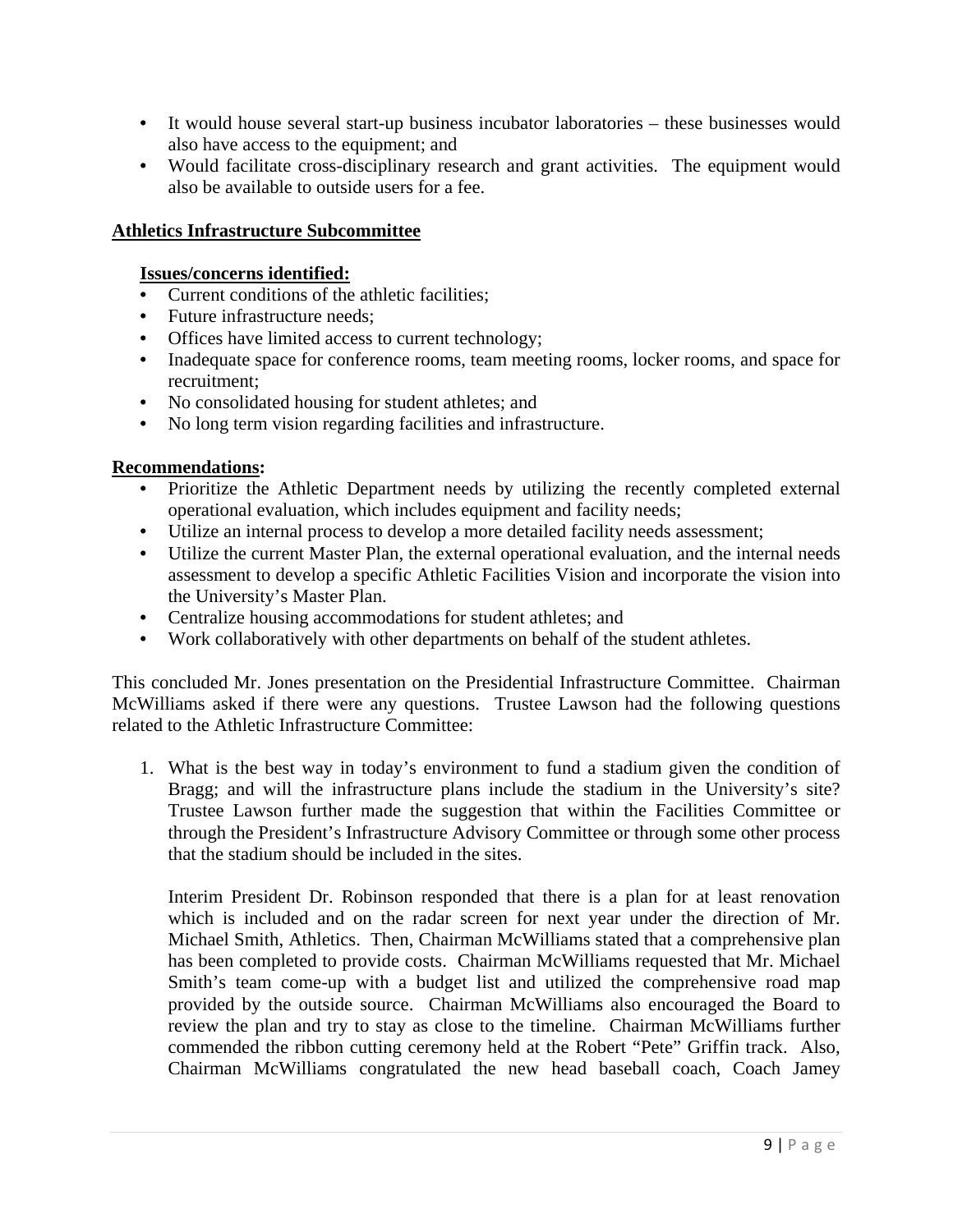- It would house several start-up business incubator laboratories these businesses would also have access to the equipment; and
- Would facilitate cross-disciplinary research and grant activities. The equipment would also be available to outside users for a fee.

#### **Athletics Infrastructure Subcommittee**

#### **Issues/concerns identified:**

- Current conditions of the athletic facilities;
- Future infrastructure needs;
- Offices have limited access to current technology;
- Inadequate space for conference rooms, team meeting rooms, locker rooms, and space for recruitment;
- No consolidated housing for student athletes; and
- No long term vision regarding facilities and infrastructure.

#### **Recommendations:**

- Prioritize the Athletic Department needs by utilizing the recently completed external operational evaluation, which includes equipment and facility needs;
- Utilize an internal process to develop a more detailed facility needs assessment;
- Utilize the current Master Plan, the external operational evaluation, and the internal needs assessment to develop a specific Athletic Facilities Vision and incorporate the vision into the University's Master Plan.
- Centralize housing accommodations for student athletes; and
- Work collaboratively with other departments on behalf of the student athletes.

This concluded Mr. Jones presentation on the Presidential Infrastructure Committee. Chairman McWilliams asked if there were any questions. Trustee Lawson had the following questions related to the Athletic Infrastructure Committee:

1. What is the best way in today's environment to fund a stadium given the condition of Bragg; and will the infrastructure plans include the stadium in the University's site? Trustee Lawson further made the suggestion that within the Facilities Committee or through the President's Infrastructure Advisory Committee or through some other process that the stadium should be included in the sites.

Interim President Dr. Robinson responded that there is a plan for at least renovation which is included and on the radar screen for next year under the direction of Mr. Michael Smith, Athletics. Then, Chairman McWilliams stated that a comprehensive plan has been completed to provide costs. Chairman McWilliams requested that Mr. Michael Smith's team come-up with a budget list and utilized the comprehensive road map provided by the outside source. Chairman McWilliams also encouraged the Board to review the plan and try to stay as close to the timeline. Chairman McWilliams further commended the ribbon cutting ceremony held at the Robert "Pete" Griffin track. Also, Chairman McWilliams congratulated the new head baseball coach, Coach Jamey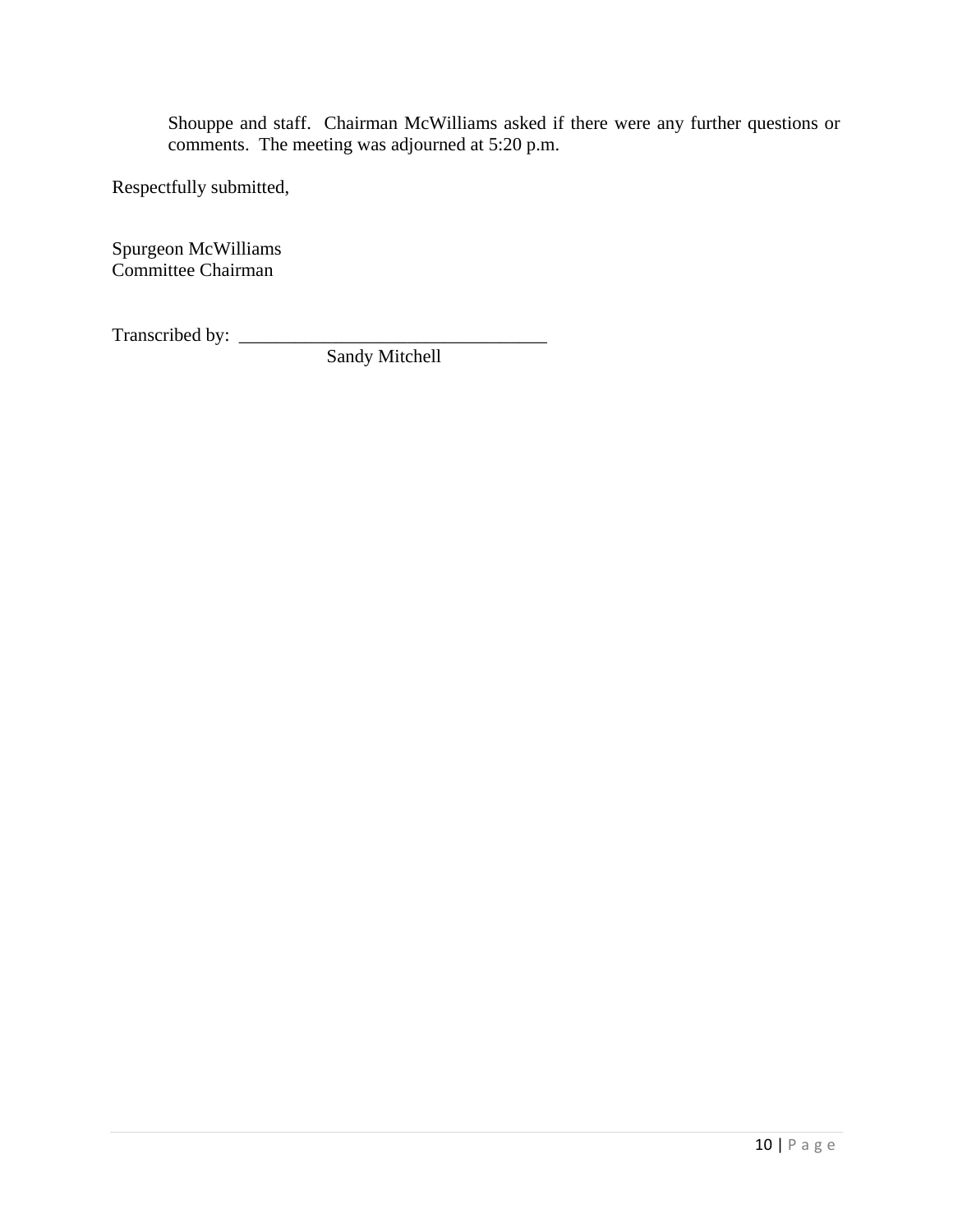Shouppe and staff. Chairman McWilliams asked if there were any further questions or comments. The meeting was adjourned at 5:20 p.m.

Respectfully submitted,

Spurgeon McWilliams Committee Chairman

Transcribed by: \_\_\_\_\_\_\_\_\_\_\_\_\_\_\_\_\_\_\_\_\_\_\_\_\_\_\_\_\_\_\_\_\_

Sandy Mitchell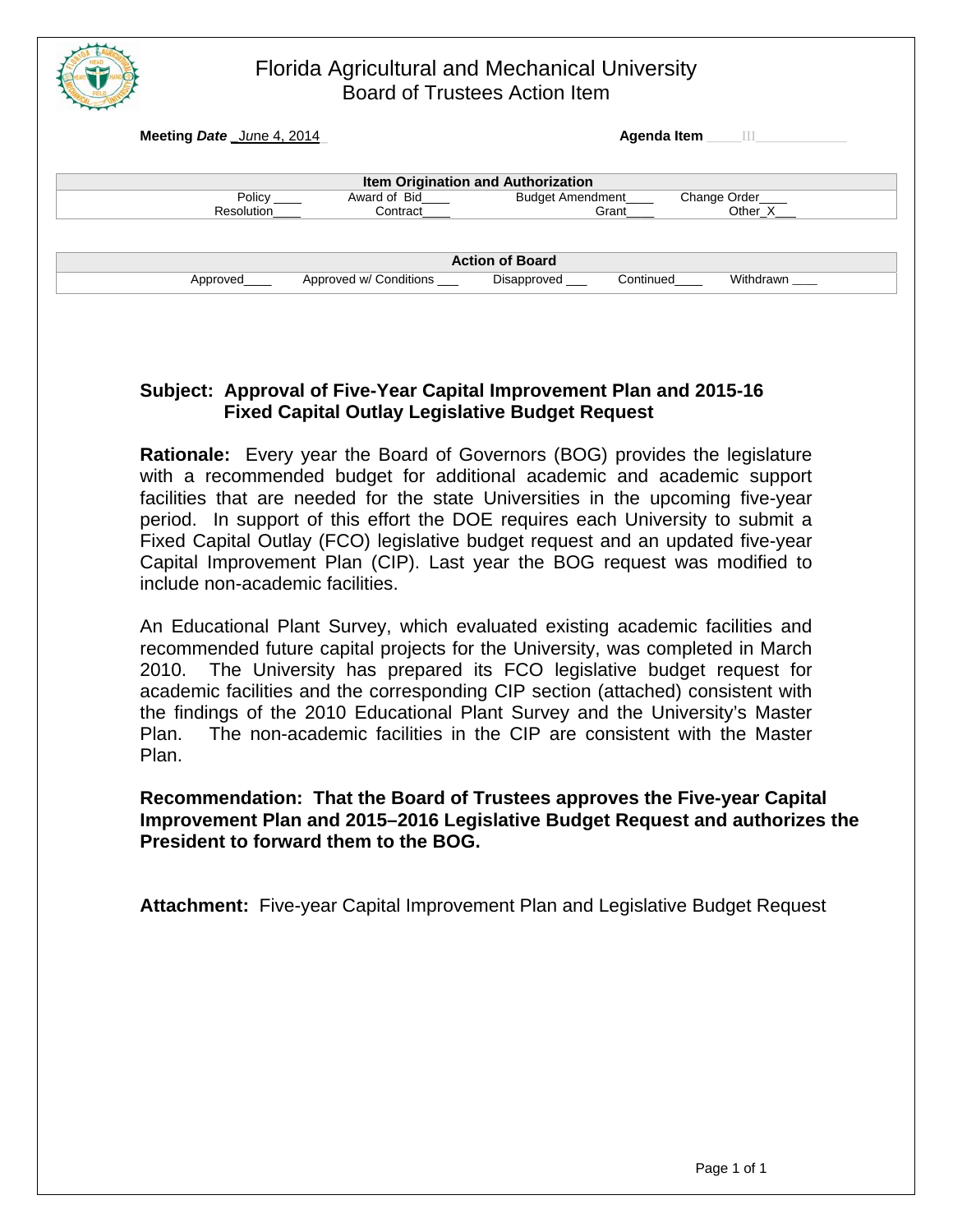|                           | <b>Board of Trustees Action Item</b>      | Florida Agricultural and Mechanical University |             |              |
|---------------------------|-------------------------------------------|------------------------------------------------|-------------|--------------|
| Meeting Date June 4, 2014 |                                           |                                                | Agenda Item | $\sim$ 111.  |
|                           | <b>Item Origination and Authorization</b> |                                                |             |              |
| Policy                    | Award of Bid                              | <b>Budget Amendment</b>                        |             | Change Order |
| Resolution                | Contract                                  | Grant                                          |             | Other X      |
|                           |                                           | <b>Action of Board</b>                         |             |              |
| Approved                  | Approved w/ Conditions                    | Disapproved                                    | Continued   | Withdrawn    |

 $\overline{\phantom{a}}$ 

# **Subject: Approval of Five-Year Capital Improvement Plan and 2015-16 Fixed Capital Outlay Legislative Budget Request**

**Rationale:** Every year the Board of Governors (BOG) provides the legislature with a recommended budget for additional academic and academic support facilities that are needed for the state Universities in the upcoming five-year period. In support of this effort the DOE requires each University to submit a Fixed Capital Outlay (FCO) legislative budget request and an updated five-year Capital Improvement Plan (CIP). Last year the BOG request was modified to include non-academic facilities.

An Educational Plant Survey, which evaluated existing academic facilities and recommended future capital projects for the University, was completed in March 2010. The University has prepared its FCO legislative budget request for academic facilities and the corresponding CIP section (attached) consistent with the findings of the 2010 Educational Plant Survey and the University's Master Plan. The non-academic facilities in the CIP are consistent with the Master Plan.

#### **Recommendation: That the Board of Trustees approves the Five-year Capital Improvement Plan and 2015–2016 Legislative Budget Request and authorizes the President to forward them to the BOG.**

**Attachment:** Five-year Capital Improvement Plan and Legislative Budget Request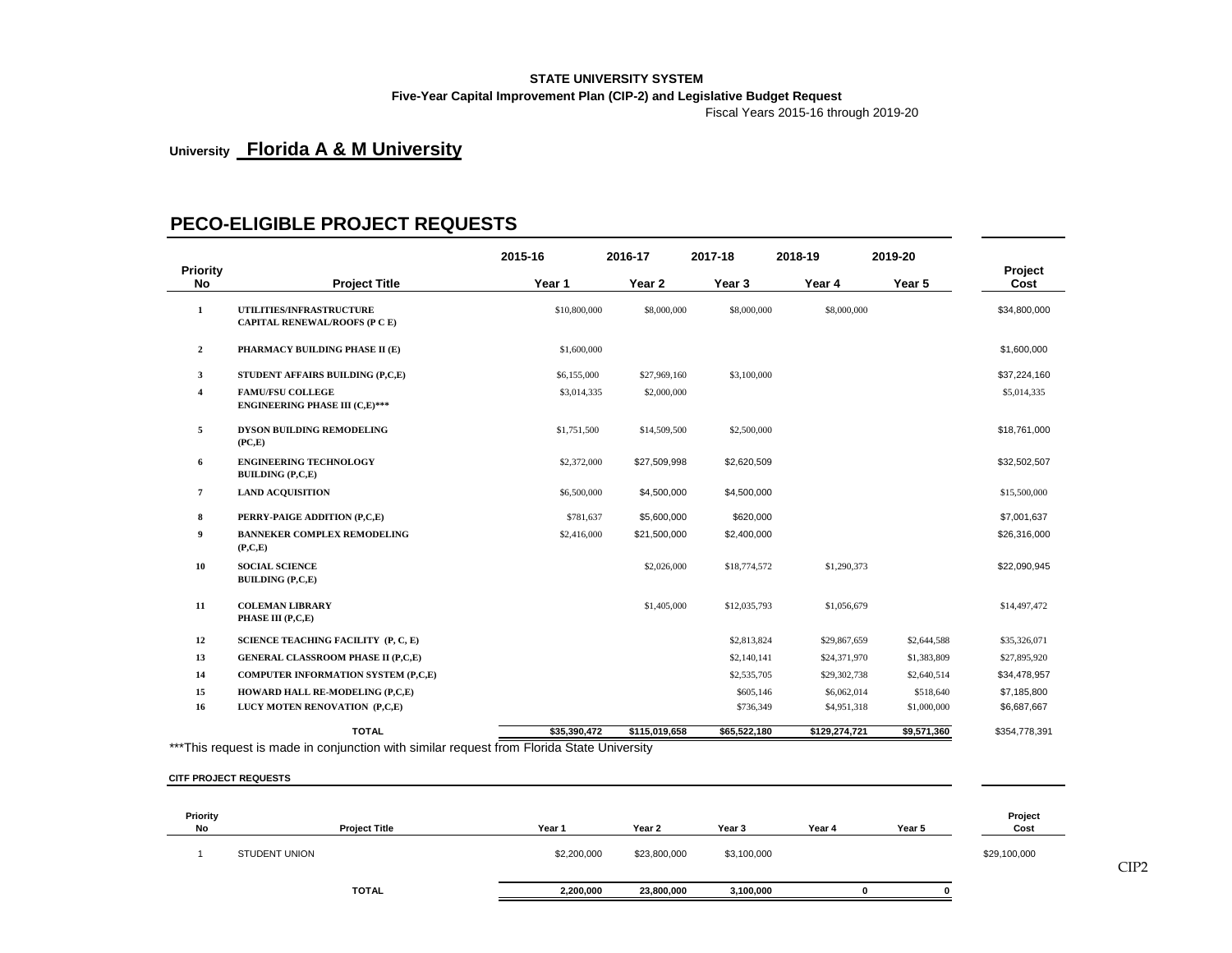# **STATE UNIVERSITY SYSTEM**

#### **Five-Year Capital Improvement Plan (CIP-2) and Legislative Budget Request**

Fiscal Years 2015-16 through 2019-20

# **University Florida A & M University**

#### **PECO-ELIGIBLE PROJECT REQUESTS**

|                |                                                                                           | 2015-16      | 2016-17       | 2017-18      | 2018-19       | 2019-20     |                 |
|----------------|-------------------------------------------------------------------------------------------|--------------|---------------|--------------|---------------|-------------|-----------------|
| Priority<br>No | <b>Project Title</b>                                                                      | Year 1       | Year 2        | Year 3       | Year 4        | Year 5      | Project<br>Cost |
| 1              | <b>UTILITIES/INFRASTRUCTURE</b><br><b>CAPITAL RENEWAL/ROOFS (P C E)</b>                   | \$10,800,000 | \$8,000,000   | \$8,000,000  | \$8,000,000   |             | \$34,800,000    |
| $\overline{2}$ | PHARMACY BUILDING PHASE II (E)                                                            | \$1,600,000  |               |              |               |             | \$1,600,000     |
| 3              | STUDENT AFFAIRS BUILDING (P,C,E)                                                          | \$6,155,000  | \$27,969,160  | \$3,100,000  |               |             | \$37,224,160    |
| 4              | <b>FAMU/FSU COLLEGE</b><br><b>ENGINEERING PHASE III (C,E)***</b>                          | \$3,014,335  | \$2,000,000   |              |               |             | \$5,014,335     |
| 5              | DYSON BUILDING REMODELING<br>(PC,E)                                                       | \$1,751,500  | \$14,509,500  | \$2,500,000  |               |             | \$18,761,000    |
| 6              | <b>ENGINEERING TECHNOLOGY</b><br><b>BUILDING (P,C,E)</b>                                  | \$2,372,000  | \$27,509,998  | \$2,620,509  |               |             | \$32,502,507    |
| 7              | <b>LAND ACQUISITION</b>                                                                   | \$6,500,000  | \$4,500,000   | \$4,500,000  |               |             | \$15,500,000    |
| 8              | PERRY-PAIGE ADDITION (P,C,E)                                                              | \$781,637    | \$5,600,000   | \$620,000    |               |             | \$7,001,637     |
| 9              | <b>BANNEKER COMPLEX REMODELING</b><br>(P, C, E)                                           | \$2,416,000  | \$21,500,000  | \$2,400,000  |               |             | \$26,316,000    |
| 10             | <b>SOCIAL SCIENCE</b><br><b>BUILDING (P,C,E)</b>                                          |              | \$2,026,000   | \$18,774,572 | \$1,290,373   |             | \$22,090,945    |
| 11             | <b>COLEMAN LIBRARY</b><br>PHASE III (P,C,E)                                               |              | \$1,405,000   | \$12,035,793 | \$1,056,679   |             | \$14,497,472    |
| 12             | SCIENCE TEACHING FACILITY (P, C, E)                                                       |              |               | \$2,813,824  | \$29,867,659  | \$2,644,588 | \$35,326,071    |
| 13             | <b>GENERAL CLASSROOM PHASE II (P,C,E)</b>                                                 |              |               | \$2,140,141  | \$24,371,970  | \$1,383,809 | \$27,895,920    |
| 14             | <b>COMPUTER INFORMATION SYSTEM (P,C,E)</b>                                                |              |               | \$2,535,705  | \$29,302,738  | \$2,640,514 | \$34,478,957    |
| 15             | HOWARD HALL RE-MODELING (P,C,E)                                                           |              |               | \$605,146    | \$6,062,014   | \$518,640   | \$7,185,800     |
| 16             | LUCY MOTEN RENOVATION (P,C,E)                                                             |              |               | \$736,349    | \$4,951,318   | \$1,000,000 | \$6,687,667     |
|                | <b>TOTAL</b>                                                                              | \$35,390,472 | \$115,019,658 | \$65,522,180 | \$129,274,721 | \$9,571,360 | \$354,778,391   |
|                | ***This request is made in conjunction with similar request from Florida State University |              |               |              |               |             |                 |

**CITF PROJECT REQUESTS**

| <b>Priority</b><br>No | <b>Project Title</b> | Year 1      | Year 2       | Year 3      | Year 4 | Year 5 | Project<br>Cost |
|-----------------------|----------------------|-------------|--------------|-------------|--------|--------|-----------------|
|                       | STUDENT UNION        | \$2,200,000 | \$23,800,000 | \$3,100,000 |        |        | \$29,100,000    |
|                       | <b>TOTAL</b>         | 2,200,000   | 23,800,000   | 3,100,000   |        |        |                 |

CIP2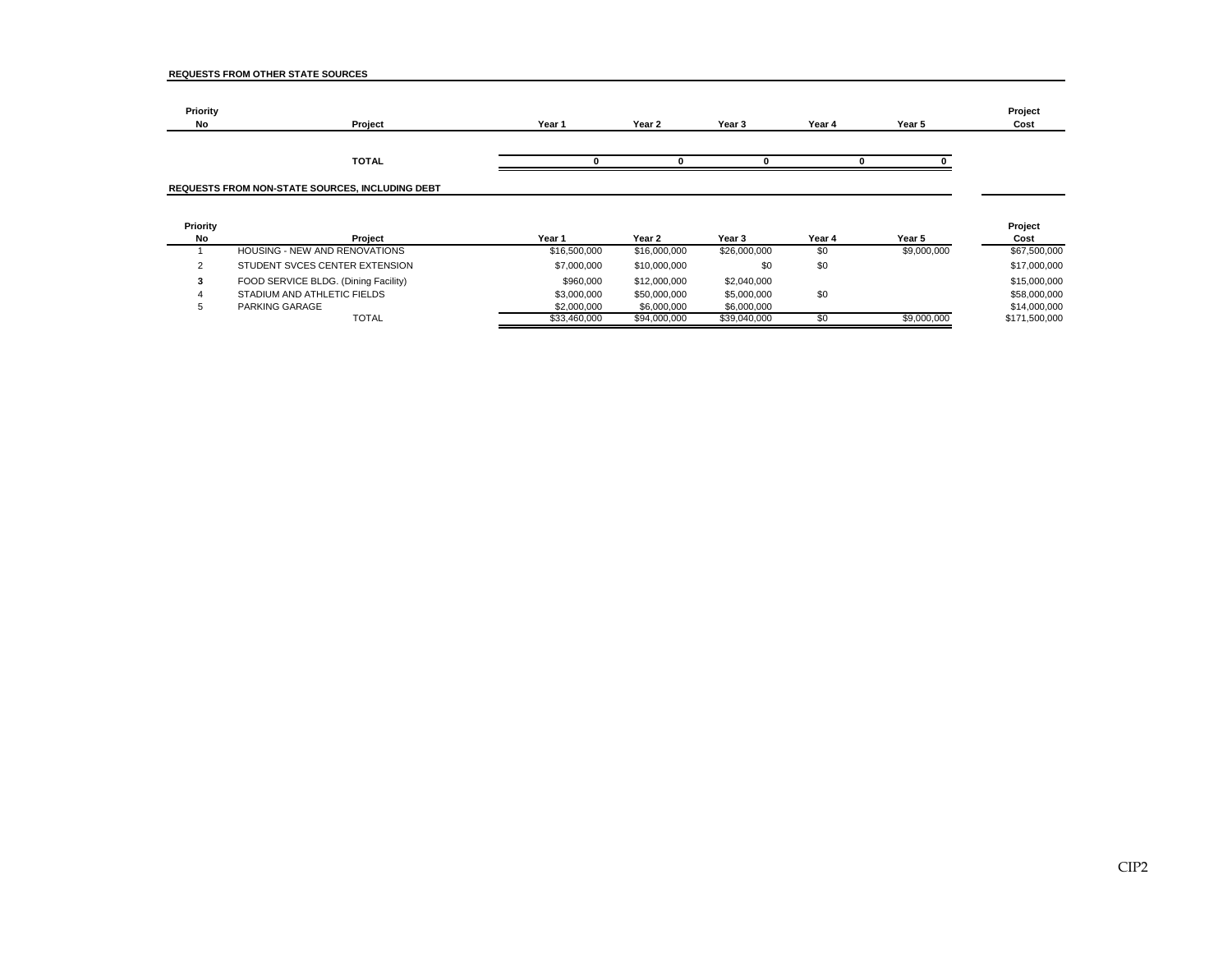| Priority<br><b>No</b> | Project                                         | Year 1 | Year 2 | Year <sub>3</sub> | Year 4 | Year 5 | Project<br>Cost |
|-----------------------|-------------------------------------------------|--------|--------|-------------------|--------|--------|-----------------|
|                       | <b>TOTAL</b>                                    |        |        |                   |        |        |                 |
|                       | REQUESTS FROM NON-STATE SOURCES, INCLUDING DEBT |        |        |                   |        |        |                 |

| Priority |                                      |              |              |              |        |             | Project       |
|----------|--------------------------------------|--------------|--------------|--------------|--------|-------------|---------------|
| No       | Project                              | Year 1       | Year 2       | Year 3       | Year 4 | Year 5      | Cost          |
|          | HOUSING - NEW AND RENOVATIONS        | \$16,500,000 | \$16,000,000 | \$26,000,000 | \$0    | \$9,000,000 | \$67,500,000  |
| $\sim$   | STUDENT SVCES CENTER EXTENSION       | \$7,000,000  | \$10,000,000 | \$0          | \$0    |             | \$17,000,000  |
|          | FOOD SERVICE BLDG. (Dining Facility) | \$960,000    | \$12,000,000 | \$2,040,000  |        |             | \$15,000,000  |
|          | STADIUM AND ATHLETIC FIELDS          | \$3,000,000  | \$50,000,000 | \$5,000,000  | \$0    |             | \$58,000,000  |
|          | PARKING GARAGE                       | \$2,000,000  | \$6,000,000  | \$6,000,000  |        |             | \$14,000,000  |
|          | TOTAL                                | \$33,460,000 | \$94,000,000 | \$39,040,000 | \$0    | \$9,000,000 | \$171,500,000 |